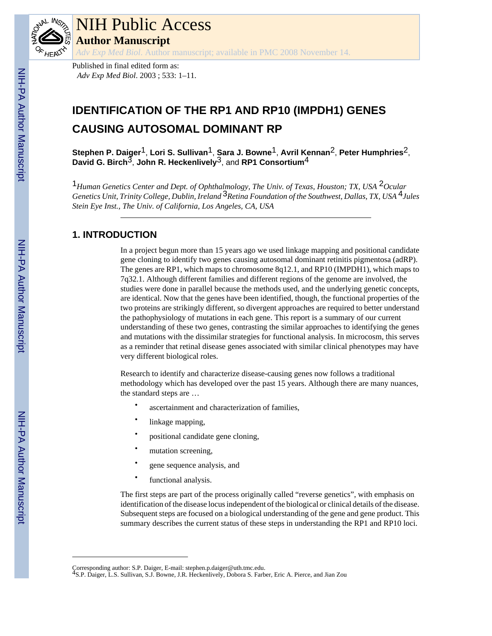

# NIH Public Access **Author Manuscript**

*Adv Exp Med Biol*. Author manuscript; available in PMC 2008 November 14.

Published in final edited form as: *Adv Exp Med Biol*. 2003 ; 533: 1–11.

# **IDENTIFICATION OF THE RP1 AND RP10 (IMPDH1) GENES CAUSING AUTOSOMAL DOMINANT RP**

**Stephen P. Daiger**1, **Lori S. Sullivan**1, **Sara J. Bowne**1, **Avril Kennan**2, **Peter Humphries**2, **David G. Birch**3, **John R. Heckenlively**3, and **RP1 Consortium**4

1*Human Genetics Center and Dept. of Ophthalmology, The Univ. of Texas, Houston; TX, USA* 2*Ocular Genetics Unit, Trinity College, Dublin, Ireland* 3*Retina Foundation of the Southwest, Dallas, TX, USA* 4*Jules Stein Eye Inst., The Univ. of California, Los Angeles, CA, USA*

# **1. INTRODUCTION**

In a project begun more than 15 years ago we used linkage mapping and positional candidate gene cloning to identify two genes causing autosomal dominant retinitis pigmentosa (adRP). The genes are RP1, which maps to chromosome 8q12.1, and RP10 (IMPDH1), which maps to 7q32.1. Although different families and different regions of the genome are involved, the studies were done in parallel because the methods used, and the underlying genetic concepts, are identical. Now that the genes have been identified, though, the functional properties of the two proteins are strikingly different, so divergent approaches are required to better understand the pathophysiology of mutations in each gene. This report is a summary of our current understanding of these two genes, contrasting the similar approaches to identifying the genes and mutations with the dissimilar strategies for functional analysis. In microcosm, this serves as a reminder that retinal disease genes associated with similar clinical phenotypes may have very different biological roles.

Research to identify and characterize disease-causing genes now follows a traditional methodology which has developed over the past 15 years. Although there are many nuances, the standard steps are …

- ascertainment and characterization of families,
- linkage mapping,
- positional candidate gene cloning,
- mutation screening,
- gene sequence analysis, and
- functional analysis.

The first steps are part of the process originally called "reverse genetics", with emphasis on identification of the disease locus independent of the biological or clinical details of the disease. Subsequent steps are focused on a biological understanding of the gene and gene product. This summary describes the current status of these steps in understanding the RP1 and RP10 loci.

Corresponding author: S.P. Daiger, E-mail: stephen.p.daiger@uth.tmc.edu. 4S.P. Daiger, L.S. Sullivan, S.J. Bowne, J.R. Heckenlively, Dobora S. Farber, Eric A. Pierce, and Jian Zou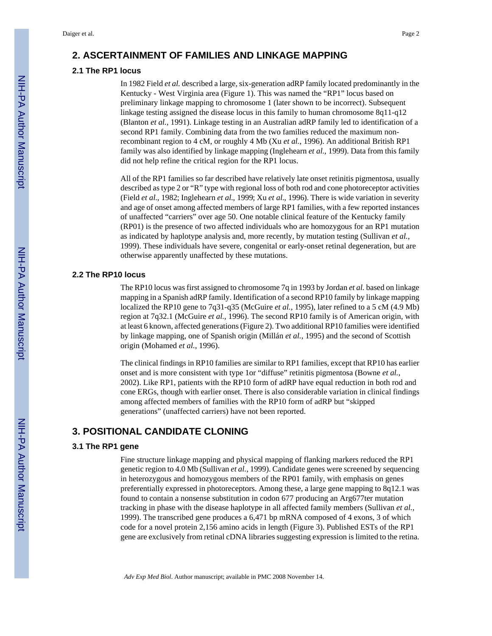#### **2. ASCERTAINMENT OF FAMILIES AND LINKAGE MAPPING**

## **2.1 The RP1 locus**

In 1982 Field *et al.* described a large, six-generation adRP family located predominantly in the Kentucky - West Virginia area (Figure 1). This was named the "RP1" locus based on preliminary linkage mapping to chromosome 1 (later shown to be incorrect). Subsequent linkage testing assigned the disease locus in this family to human chromosome 8q11-q12 (Blanton *et al.*, 1991). Linkage testing in an Australian adRP family led to identification of a second RP1 family. Combining data from the two families reduced the maximum nonrecombinant region to 4 cM, or roughly 4 Mb (Xu *et al.*, 1996). An additional British RP1 family was also identified by linkage mapping (Inglehearn *et al.*, 1999). Data from this family did not help refine the critical region for the RP1 locus.

All of the RP1 families so far described have relatively late onset retinitis pigmentosa, usually described as type 2 or "R" type with regional loss of both rod and cone photoreceptor activities (Field *et al.*, 1982; Inglehearn *et al.*, 1999; Xu *et al.*, 1996). There is wide variation in severity and age of onset among affected members of large RP1 families, with a few reported instances of unaffected "carriers" over age 50. One notable clinical feature of the Kentucky family (RP01) is the presence of two affected individuals who are homozygous for an RP1 mutation as indicated by haplotype analysis and, more recently, by mutation testing (Sullivan *et al.*, 1999). These individuals have severe, congenital or early-onset retinal degeneration, but are otherwise apparently unaffected by these mutations.

## **2.2 The RP10 locus**

The RP10 locus was first assigned to chromosome 7q in 1993 by Jordan *et al.* based on linkage mapping in a Spanish adRP family. Identification of a second RP10 family by linkage mapping localized the RP10 gene to 7q31-q35 (McGuire *et al.*, 1995), later refined to a 5 cM (4.9 Mb) region at 7q32.1 (McGuire *et al.*, 1996). The second RP10 family is of American origin, with at least 6 known, affected generations (Figure 2). Two additional RP10 families were identified by linkage mapping, one of Spanish origin (Millán *et al.*, 1995) and the second of Scottish origin (Mohamed *et al.*, 1996).

The clinical findings in RP10 families are similar to RP1 families, except that RP10 has earlier onset and is more consistent with type 1or "diffuse" retinitis pigmentosa (Bowne *et al.*, 2002). Like RP1, patients with the RP10 form of adRP have equal reduction in both rod and cone ERGs, though with earlier onset. There is also considerable variation in clinical findings among affected members of families with the RP10 form of adRP but "skipped generations" (unaffected carriers) have not been reported.

# **3. POSITIONAL CANDIDATE CLONING**

#### **3.1 The RP1 gene**

Fine structure linkage mapping and physical mapping of flanking markers reduced the RP1 genetic region to 4.0 Mb (Sullivan *et al.*, 1999). Candidate genes were screened by sequencing in heterozygous and homozygous members of the RP01 family, with emphasis on genes preferentially expressed in photoreceptors. Among these, a large gene mapping to 8q12.1 was found to contain a nonsense substitution in codon 677 producing an Arg677ter mutation tracking in phase with the disease haplotype in all affected family members (Sullivan *et al.*, 1999). The transcribed gene produces a 6,471 bp mRNA composed of 4 exons, 3 of which code for a novel protein 2,156 amino acids in length (Figure 3). Published ESTs of the RP1 gene are exclusively from retinal cDNA libraries suggesting expression is limited to the retina.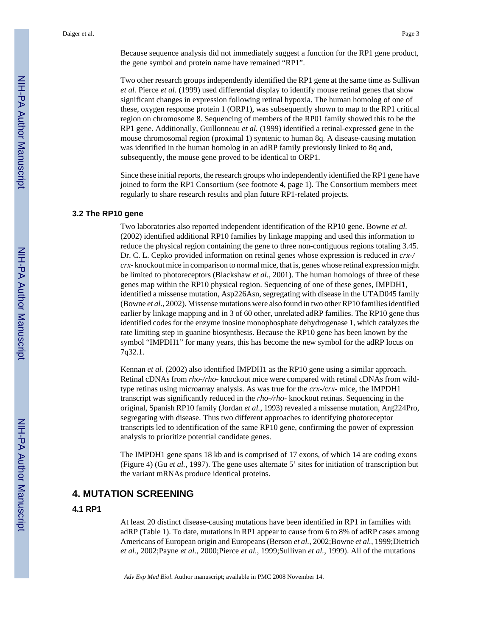Because sequence analysis did not immediately suggest a function for the RP1 gene product, the gene symbol and protein name have remained "RP1".

Two other research groups independently identified the RP1 gene at the same time as Sullivan *et al.* Pierce *et al.* (1999) used differential display to identify mouse retinal genes that show significant changes in expression following retinal hypoxia. The human homolog of one of these, oxygen response protein 1 (ORP1), was subsequently shown to map to the RP1 critical region on chromosome 8. Sequencing of members of the RP01 family showed this to be the RP1 gene. Additionally, Guillonneau *et al.* (1999) identified a retinal-expressed gene in the mouse chromosomal region (proximal 1) syntenic to human 8q. A disease-causing mutation was identified in the human homolog in an adRP family previously linked to 8q and, subsequently, the mouse gene proved to be identical to ORP1.

Since these initial reports, the research groups who independently identified the RP1 gene have joined to form the RP1 Consortium (see footnote 4, page 1). The Consortium members meet regularly to share research results and plan future RP1-related projects.

#### **3.2 The RP10 gene**

Two laboratories also reported independent identification of the RP10 gene. Bowne *et al.* (2002) identified additional RP10 families by linkage mapping and used this information to reduce the physical region containing the gene to three non-contiguous regions totaling 3.45. Dr. C. L. Cepko provided information on retinal genes whose expression is reduced in *crx-/ crx-* knockout mice in comparison to normal mice, that is, genes whose retinal expression might be limited to photoreceptors (Blackshaw *et al.*, 2001). The human homologs of three of these genes map within the RP10 physical region. Sequencing of one of these genes, IMPDH1, identified a missense mutation, Asp226Asn, segregating with disease in the UTAD045 family (Bowne *et al.*, 2002). Missense mutations were also found in two other RP10 families identified earlier by linkage mapping and in 3 of 60 other, unrelated adRP families. The RP10 gene thus identified codes for the enzyme inosine monophosphate dehydrogenase 1, which catalyzes the rate limiting step in guanine biosynthesis. Because the RP10 gene has been known by the symbol "IMPDH1" for many years, this has become the new symbol for the adRP locus on 7q32.1.

Kennan *et al.* (2002) also identified IMPDH1 as the RP10 gene using a similar approach. Retinal cDNAs from *rho-/rho-* knockout mice were compared with retinal cDNAs from wildtype retinas using microarray analysis. As was true for the *crx-/crx-* mice, the IMPDH1 transcript was significantly reduced in the *rho-/rho-* knockout retinas. Sequencing in the original, Spanish RP10 family (Jordan *et al.*, 1993) revealed a missense mutation, Arg224Pro, segregating with disease. Thus two different approaches to identifying photoreceptor transcripts led to identification of the same RP10 gene, confirming the power of expression analysis to prioritize potential candidate genes.

The IMPDH1 gene spans 18 kb and is comprised of 17 exons, of which 14 are coding exons (Figure 4) (Gu *et al.*, 1997). The gene uses alternate 5' sites for initiation of transcription but the variant mRNAs produce identical proteins.

## **4. MUTATION SCREENING**

#### **4.1 RP1**

At least 20 distinct disease-causing mutations have been identified in RP1 in families with adRP (Table 1). To date, mutations in RP1 appear to cause from 6 to 8% of adRP cases among Americans of European origin and Europeans (Berson *et al.*, 2002;Bowne *et al.*, 1999;Dietrich *et al.*, 2002;Payne *et al.*, 2000;Pierce *et al.*, 1999;Sullivan *et al.*, 1999). All of the mutations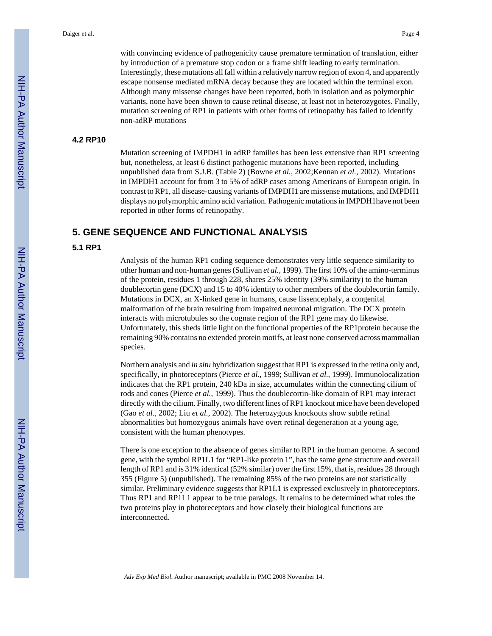with convincing evidence of pathogenicity cause premature termination of translation, either by introduction of a premature stop codon or a frame shift leading to early termination. Interestingly, these mutations all fall within a relatively narrow region of exon 4, and apparently escape nonsense mediated mRNA decay because they are located within the terminal exon. Although many missense changes have been reported, both in isolation and as polymorphic variants, none have been shown to cause retinal disease, at least not in heterozygotes. Finally, mutation screening of RP1 in patients with other forms of retinopathy has failed to identify non-adRP mutations

#### **4.2 RP10**

Mutation screening of IMPDH1 in adRP families has been less extensive than RP1 screening but, nonetheless, at least 6 distinct pathogenic mutations have been reported, including unpublished data from S.J.B. (Table 2) (Bowne *et al.*, 2002;Kennan *et al.*, 2002). Mutations in IMPDH1 account for from 3 to 5% of adRP cases among Americans of European origin. In contrast to RP1, all disease-causing variants of IMPDH1 are missense mutations, and IMPDH1 displays no polymorphic amino acid variation. Pathogenic mutations in IMPDH1have not been reported in other forms of retinopathy.

## **5. GENE SEQUENCE AND FUNCTIONAL ANALYSIS**

## **5.1 RP1**

Analysis of the human RP1 coding sequence demonstrates very little sequence similarity to other human and non-human genes (Sullivan *et al.*, 1999). The first 10% of the amino-terminus of the protein, residues 1 through 228, shares 25% identity (39% similarity) to the human doublecortin gene (DCX) and 15 to 40% identity to other members of the doublecortin family. Mutations in DCX, an X-linked gene in humans, cause lissencephaly, a congenital malformation of the brain resulting from impaired neuronal migration. The DCX protein interacts with microtubules so the cognate region of the RP1 gene may do likewise. Unfortunately, this sheds little light on the functional properties of the RP1protein because the remaining 90% contains no extended protein motifs, at least none conserved across mammalian species.

Northern analysis and *in situ* hybridization suggest that RP1 is expressed in the retina only and, specifically, in photoreceptors (Pierce *et al.*, 1999; Sullivan *et al.*, 1999). Immunolocalization indicates that the RP1 protein, 240 kDa in size, accumulates within the connecting cilium of rods and cones (Pierce *et al.*, 1999). Thus the doublecortin-like domain of RP1 may interact directly with the cilium. Finally, two different lines of RP1 knockout mice have been developed (Gao *et al.*, 2002; Liu *et al.*, 2002). The heterozygous knockouts show subtle retinal abnormalities but homozygous animals have overt retinal degeneration at a young age, consistent with the human phenotypes.

There is one exception to the absence of genes similar to RP1 in the human genome. A second gene, with the symbol RP1L1 for "RP1-like protein 1", has the same gene structure and overall length of RP1 and is 31% identical (52% similar) over the first 15%, that is, residues 28 through 355 (Figure 5) (unpublished). The remaining 85% of the two proteins are not statistically similar. Preliminary evidence suggests that RP1L1 is expressed exclusively in photoreceptors. Thus RP1 and RP1L1 appear to be true paralogs. It remains to be determined what roles the two proteins play in photoreceptors and how closely their biological functions are interconnected.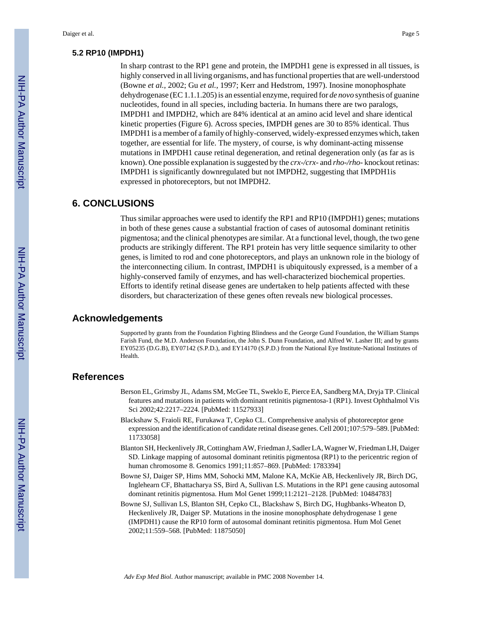#### **5.2 RP10 (IMPDH1)**

In sharp contrast to the RP1 gene and protein, the IMPDH1 gene is expressed in all tissues, is highly conserved in all living organisms, and has functional properties that are well-understood (Bowne *et al.*, 2002; Gu *et al.*, 1997; Kerr and Hedstrom, 1997). Inosine monophosphate dehydrogenase (EC 1.1.1.205) is an essential enzyme, required for *de novo* synthesis of guanine nucleotides, found in all species, including bacteria. In humans there are two paralogs, IMPDH1 and IMPDH2, which are 84% identical at an amino acid level and share identical kinetic properties (Figure 6). Across species, IMPDH genes are 30 to 85% identical. Thus IMPDH1 is a member of a family of highly-conserved, widely-expressed enzymes which, taken together, are essential for life. The mystery, of course, is why dominant-acting missense mutations in IMPDH1 cause retinal degeneration, and retinal degeneration only (as far as is known). One possible explanation is suggested by the *crx-/crx-* and *rho-/rho-* knockout retinas: IMPDH1 is significantly downregulated but not IMPDH2, suggesting that IMPDH1is expressed in photoreceptors, but not IMPDH2.

## **6. CONCLUSIONS**

Thus similar approaches were used to identify the RP1 and RP10 (IMPDH1) genes; mutations in both of these genes cause a substantial fraction of cases of autosomal dominant retinitis pigmentosa; and the clinical phenotypes are similar. At a functional level, though, the two gene products are strikingly different. The RP1 protein has very little sequence similarity to other genes, is limited to rod and cone photoreceptors, and plays an unknown role in the biology of the interconnecting cilium. In contrast, IMPDH1 is ubiquitously expressed, is a member of a highly-conserved family of enzymes, and has well-characterized biochemical properties. Efforts to identify retinal disease genes are undertaken to help patients affected with these disorders, but characterization of these genes often reveals new biological processes.

## **Acknowledgements**

Supported by grants from the Foundation Fighting Blindness and the George Gund Foundation, the William Stamps Farish Fund, the M.D. Anderson Foundation, the John S. Dunn Foundation, and Alfred W. Lasher III; and by grants EY05235 (D.G.B), EY07142 (S.P.D.), and EY14170 (S.P.D.) from the National Eye Institute-National Institutes of Health.

## **References**

- Berson EL, Grimsby JL, Adams SM, McGee TL, Sweklo E, Pierce EA, Sandberg MA, Dryja TP. Clinical features and mutations in patients with dominant retinitis pigmentosa-1 (RP1). Invest Ophthalmol Vis Sci 2002;42:2217–2224. [PubMed: 11527933]
- Blackshaw S, Fraioli RE, Furukawa T, Cepko CL. Comprehensive analysis of photoreceptor gene expression and the identification of candidate retinal disease genes. Cell 2001;107:579–589. [PubMed: 11733058]
- Blanton SH, Heckenlively JR, Cottingham AW, Friedman J, Sadler LA, Wagner W, Friedman LH, Daiger SD. Linkage mapping of autosomal dominant retinitis pigmentosa (RP1) to the pericentric region of human chromosome 8. Genomics 1991;11:857–869. [PubMed: 1783394]
- Bowne SJ, Daiger SP, Hims MM, Sohocki MM, Malone KA, McKie AB, Heckenlively JR, Birch DG, Inglehearn CF, Bhattacharya SS, Bird A, Sullivan LS. Mutations in the RP1 gene causing autosomal dominant retinitis pigmentosa. Hum Mol Genet 1999;11:2121–2128. [PubMed: 10484783]
- Bowne SJ, Sullivan LS, Blanton SH, Cepko CL, Blackshaw S, Birch DG, Hughbanks-Wheaton D, Heckenlively JR, Daiger SP. Mutations in the inosine monophosphate dehydrogenase 1 gene (IMPDH1) cause the RP10 form of autosomal dominant retinitis pigmentosa. Hum Mol Genet 2002;11:559–568. [PubMed: 11875050]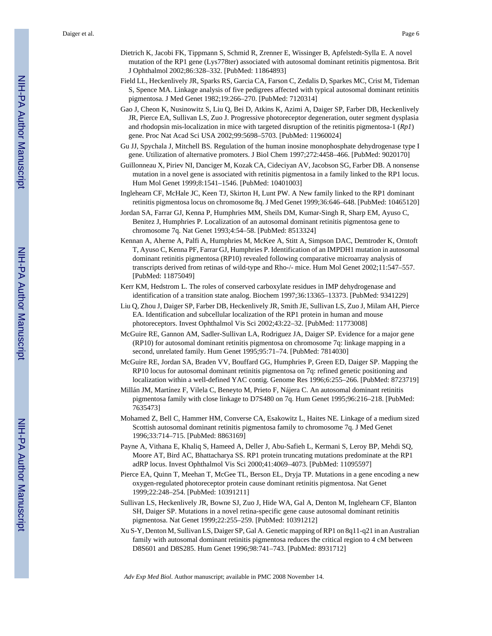- Dietrich K, Jacobi FK, Tippmann S, Schmid R, Zrenner E, Wissinger B, Apfelstedt-Sylla E. A novel mutation of the RP1 gene (Lys778ter) associated with autosomal dominant retinitis pigmentosa. Brit J Ophthalmol 2002;86:328–332. [PubMed: 11864893]
- Field LL, Heckenlively JR, Sparks RS, Garcia CA, Farson C, Zedalis D, Sparkes MC, Crist M, Tideman S, Spence MA. Linkage analysis of five pedigrees affected with typical autosomal dominant retinitis pigmentosa. J Med Genet 1982;19:266–270. [PubMed: 7120314]
- Gao J, Cheon K, Nusinowitz S, Liu Q, Bei D, Atkins K, Azimi A, Daiger SP, Farber DB, Heckenlively JR, Pierce EA, Sullivan LS, Zuo J. Progressive photoreceptor degeneration, outer segment dysplasia and rhodopsin mis-localization in mice with targeted disruption of the retinitis pigmentosa-1 (*Rp1*) gene. Proc Nat Acad Sci USA 2002;99:5698–5703. [PubMed: 11960024]
- Gu JJ, Spychala J, Mitchell BS. Regulation of the human inosine monophosphate dehydrogenase type I gene. Utilization of alternative promoters. J Biol Chem 1997;272:4458–466. [PubMed: 9020170]
- Guillonneau X, Piriev NI, Danciger M, Kozak CA, Cideciyan AV, Jacobson SG, Farber DB. A nonsense mutation in a novel gene is associated with retinitis pigmentosa in a family linked to the RP1 locus. Hum Mol Genet 1999;8:1541–1546. [PubMed: 10401003]
- Inglehearn CF, McHale JC, Keen TJ, Skirton H, Lunt PW. A New family linked to the RP1 dominant retinitis pigmentosa locus on chromosome 8q. J Med Genet 1999;36:646–648. [PubMed: 10465120]
- Jordan SA, Farrar GJ, Kenna P, Humphries MM, Sheils DM, Kumar-Singh R, Sharp EM, Ayuso C, Benitez J, Humphries P. Localization of an autosomal dominant retinitis pigmentosa gene to chromosome 7q. Nat Genet 1993;4:54–58. [PubMed: 8513324]
- Kennan A, Aherne A, Palfi A, Humphries M, McKee A, Stitt A, Simpson DAC, Demtroder K, Orntoft T, Ayuso C, Kenna PF, Farrar GJ, Humphries P. Identification of an IMPDH1 mutation in autosomal dominant retinitis pigmentosa (RP10) revealed following comparative microarray analysis of transcripts derived from retinas of wild-type and Rho-/- mice. Hum Mol Genet 2002;11:547–557. [PubMed: 11875049]
- Kerr KM, Hedstrom L. The roles of conserved carboxylate residues in IMP dehydrogenase and identification of a transition state analog. Biochem 1997;36:13365–13373. [PubMed: 9341229]
- Liu Q, Zhou J, Daiger SP, Farber DB, Heckenlively JR, Smith JE, Sullivan LS, Zuo J, Milam AH, Pierce EA. Identification and subcellular localization of the RP1 protein in human and mouse photoreceptors. Invest Ophthalmol Vis Sci 2002;43:22–32. [PubMed: 11773008]
- McGuire RE, Gannon AM, Sadler-Sullivan LA, Rodriguez JA, Daiger SP. Evidence for a major gene (RP10) for autosomal dominant retinitis pigmentosa on chromosome 7q: linkage mapping in a second, unrelated family. Hum Genet 1995;95:71–74. [PubMed: 7814030]
- McGuire RE, Jordan SA, Braden VV, Bouffard GG, Humphries P, Green ED, Daiger SP. Mapping the RP10 locus for autosomal dominant retinitis pigmentosa on 7q: refined genetic positioning and localization within a well-defined YAC contig. Genome Res 1996;6:255–266. [PubMed: 8723719]
- Millán JM, Martínez F, Vilela C, Beneyto M, Prieto F, Nájera C. An autosomal dominant retinitis pigmentosa family with close linkage to D7S480 on 7q. Hum Genet 1995;96:216–218. [PubMed: 7635473]
- Mohamed Z, Bell C, Hammer HM, Converse CA, Esakowitz L, Haites NE. Linkage of a medium sized Scottish autosomal dominant retinitis pigmentosa family to chromosome 7q. J Med Genet 1996;33:714–715. [PubMed: 8863169]
- Payne A, Vithana E, Khaliq S, Hameed A, Deller J, Abu-Safieh L, Kermani S, Leroy BP, Mehdi SQ, Moore AT, Bird AC, Bhattacharya SS. RP1 protein truncating mutations predominate at the RP1 adRP locus. Invest Ophthalmol Vis Sci 2000;41:4069–4073. [PubMed: 11095597]
- Pierce EA, Quinn T, Meehan T, McGee TL, Berson EL, Dryja TP. Mutations in a gene encoding a new oxygen-regulated photoreceptor protein cause dominant retinitis pigmentosa. Nat Genet 1999;22:248–254. [PubMed: 10391211]
- Sullivan LS, Heckenlively JR, Bowne SJ, Zuo J, Hide WA, Gal A, Denton M, Inglehearn CF, Blanton SH, Daiger SP. Mutations in a novel retina-specific gene cause autosomal dominant retinitis pigmentosa. Nat Genet 1999;22:255–259. [PubMed: 10391212]
- Xu S-Y, Denton M, Sullivan LS, Daiger SP, Gal A. Genetic mapping of RP1 on 8q11-q21 in an Australian family with autosomal dominant retinitis pigmentosa reduces the critical region to 4 cM between D8S601 and D8S285. Hum Genet 1996;98:741–743. [PubMed: 8931712]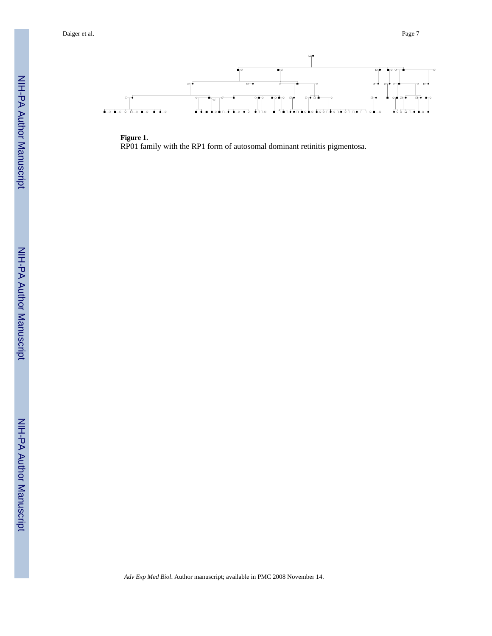

**Figure 1.** RP01 family with the RP1 form of autosomal dominant retinitis pigmentosa.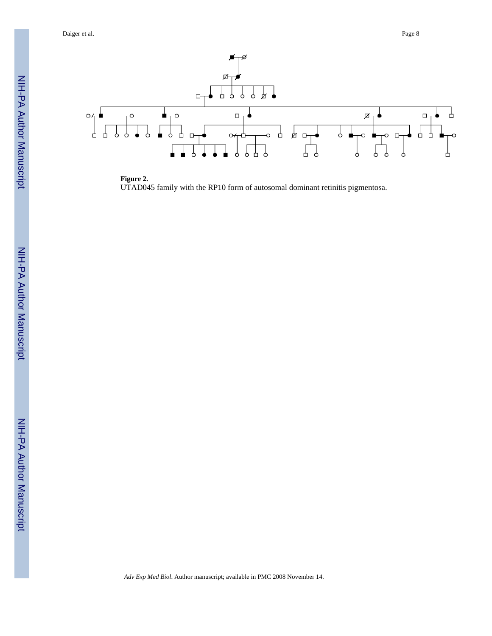

**Figure 2.** UTAD045 family with the RP10 form of autosomal dominant retinitis pigmentosa.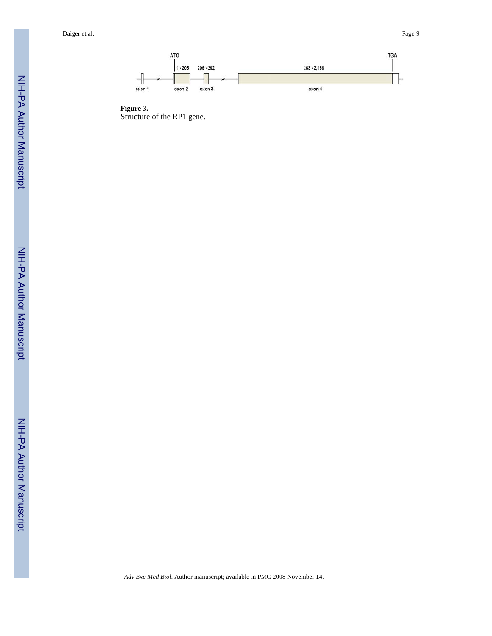

**Figure 3.** Structure of the RP1 gene.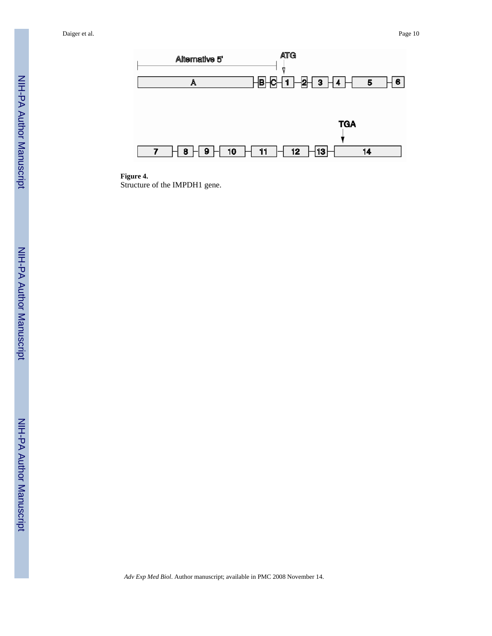

**Figure 4.**

Structure of the IMPDH1 gene.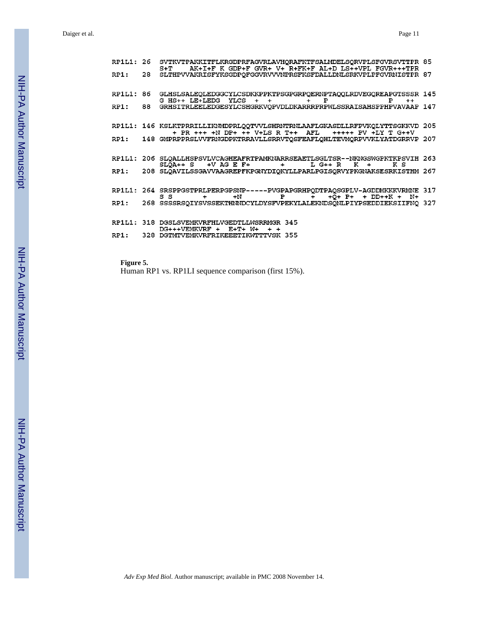|           |    | RP1L1: 26 SVTKVTPAKKITFLKRGDPRFAGVRLAVHQRAFKTFSALMDELSQRVPLSFGVRSVTTPR 85<br>S+T AK+I+F K GDP+F GVR+ V+ R+FK+F AL+D LS++VPL FGVR+++TPR       |  |
|-----------|----|----------------------------------------------------------------------------------------------------------------------------------------------|--|
| RP1:      | 28 | SLTHPVVAKRISFYKSGDPQFGGVRVVVNPRSFKSFDALLDNLSRKVPLPFGVRNISTPR 87                                                                              |  |
| RP1L1: 86 |    | GLHSLSALEQLEDGGCYLCSDKKPPKTPSGPGRPQERNPTAQQLRDVEGQREAPGTSSSR 145<br>G HS++ LE+LEDG YLCS + + + + P<br>$P + +$                                 |  |
|           |    | RP1: 88 GRHSITRLEELEDGESYLCSHGRKVQPVDLDKARRRPRPWLSSRAISAHSPPHPVAVAAP 147                                                                     |  |
|           |    | RP1L1: 146 KSLKTPRRILLIKNMDPRLQQTVVLSHRNTRNLAAFLGKASDLLRFPVKQLYTTSGKKVD 205<br>+ PR +++ +N DP+ ++ V+LS R T++ AFL +++++ PV +LY T G++V         |  |
|           |    | RP1: 148 GMPRPPRSLVVFRNGDPKTRRAVLLSRRVTQSFEAFLQHLTEVMQRPVVKLYATDGRRVP 207                                                                    |  |
|           |    | RP1L1: 206 SLQALLHSPSVLVCAGHEAFRTPAMKNARRSEAETLSGLTSR--NKNGSWGPKTKPSVIH 263<br>$SLQA++ S$ +V AG E F+ + L G++ R K +<br>кs                     |  |
|           |    | RP1: 208 SLOAVILSSGAVVAAGREPFKPGNYDIOKYLLPARLPGISORVYPKGNAKSESRKISTHM 267                                                                    |  |
|           |    | RP1L1: 264 SRSPPGSTPRLPERPGPSNP-----PVGPAPGRHPQDTPAQSGPLV-AGDDMKKKVRMNE 317<br>$+N$ P $\tilde{+}$ + $\tilde{Q}$ + P+ + DD++K + N+<br>$S$ S + |  |
|           |    | RP1: 268 SSSSRSQIYSVSSEKTHNNDCYLDYSFVPEKYLALEKNDSQNLPIYPSEDDIEKSIIFNQ 327                                                                    |  |
|           |    | RP1L1: 318 DGSLSVEMKVRFHLVGEDTLLWSRRMGR 345<br>$DG+++VEMKVRF$ + $E+T+W+$ + +                                                                 |  |
|           |    | RP1: 328 DGTMTVEMKVRFRIKEEETIKWTTTVSK 355                                                                                                    |  |

**Figure 5.** Human RP1 vs. RP1LI sequence comparison (first 15%).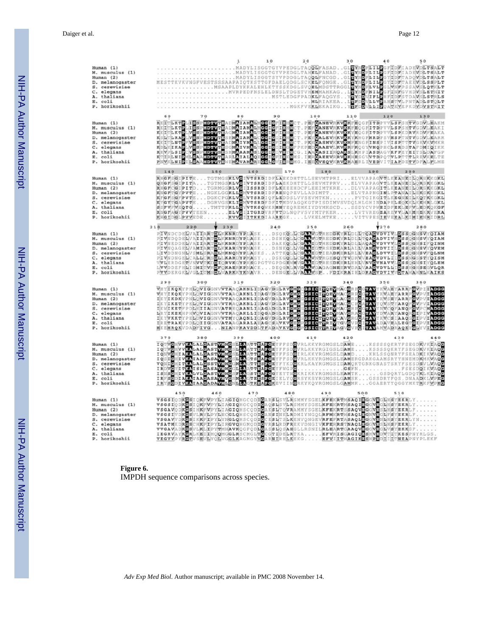| Human (1)<br>M. musculus (1)<br>Human(2)<br>D. melanogaster<br>S. cerevisiae<br>C. elegans<br>A. thaliana<br>E. coli<br>P. horikoshii      |                                                                                                                                                                                                                                                                                                                                                                                                                                                                                                                                                                       |     | 10  | 20  | 30  | 40   | 50  |
|--------------------------------------------------------------------------------------------------------------------------------------------|-----------------------------------------------------------------------------------------------------------------------------------------------------------------------------------------------------------------------------------------------------------------------------------------------------------------------------------------------------------------------------------------------------------------------------------------------------------------------------------------------------------------------------------------------------------------------|-----|-----|-----|-----|------|-----|
| Human $(1)$<br>M. musculus (1)<br>Human $(2)$<br>D. melanogaster<br>S. cerevisiae<br>C. elegans<br>A. thaliana<br>E. coli<br>P. horikoshii | RKETLEKTE EN SPRIDAVTBADMATAMALMGGIGFERHNCT, PEPOANEVRKVKREE OCFITEPVLESSITVODVLEAK<br>KKETLEKTELSSPRIDAVTBADMATAMALMGGIGFERHNCT, PEPOANEVRKVKREE OCFITEPVLESSITVODVLEAK<br>KKETLEKTELVSSPRIDAVTBAOMATAMALMGGIGFERHNCT, PEPOANEVRKVK                                                                                                                                                                                                                                                                                                                                  | 80  | 90  | 100 | 110 | 120  | 130 |
| Human (1)<br>M. musculus (1)<br>Human (2)<br>D. melanogaster<br>S. cerevisiae<br>C. elegans<br>A. thaliana<br>E. coli<br>P. horikoshii     | 140<br>150<br>RHGFSGIPITETGTMGSKLVGIVTSRDIDFLAEKDHTTLLSEVMTPRIELVVAPAGVTLKEANEILORSKKGKI<br>QHGPSGIPITATGTMGSKLVGIVTSRDIDFLAEKDHTTLLSEVMTPRVELVVAPAGVTLKEANEILORSKKGKI<br>RHGFCGIPITD. TGRNGSRLVGIISSRDIDFLREEEHDCFLEEINTRRE. DLVVAPAGITLKEANEILÖRSRKGKI<br>KNGFTGYPVTENGKLGGKLLGMVTSRDIDFRENQPEVLLADIMTTELVTAPNGINLPTAMAILERSKKGKI<br>NHGIDGLPYVEDEKYVGILTKKDIAAREGKLVKELMTKEVITVPES[IEVERALK]NEIENRIDRI<br>RYGYTGAPYTEDGRVGSKLIGNYTKSQNFRNNYEQREMKIYDYNKSCDSDDYCVFNEIDFREMENTRNEIENG<br>SPPYFNEQTGDGRVGSKLIGNYTKSQNFRNNYEQREMKIYDYNKSCDSDDYC                        | 160 | 170 | 180 |     | 190  | 200 |
| Human (1)<br>M. musculus (1)<br>Human $(2)$<br>D. melanogaster<br>S. cerevisiae<br>C. elegans<br>A. thaliana<br>E. coli<br>P. horikoshii   | 210<br>220<br>PTVNDCDEQVATIARTOLKKNRDYPLASKDSQKQLQGKYVGTREDDRYRIDLQTQAGVDVIVLOSGQGNSVYQIAB<br>PI VNDODERVAI IARTELKKARIO PLASKDSRKQLECGA VNTRSEDEKTRELENDARIO I DSRGQADI I GALI IN PIERRE AND PERSONALIS<br>PI VNDODERVAI IARTELKKARIO PLASKDSRKQLECGA VCTREDEKTRELENDARIO IZQVVVILDS SQQNS IFQI N<br>PI VNDODERVAI IARTELKK<br>LVVDDEFHLIGMITVKDFÖKAERKPNACKDEQGRLRVGMGVGGSAGNEERVDALVAAGVDVLLIDSSHGHSEGVLQF<br>PVVDERGKLVGLITMSDLVARKKYKNAVRDENGELLVAAAVSPFDIKRAIELDKAGVDVIVVDTAHAHNLKAIKS                                                                          | 230 | 240 | 250 | 260 | Y270 | 280 |
| Human $(1)$<br>M. musculus (1)<br>Human (2)<br>D. melanogaster<br>S. cerevisiae<br>C. elegans<br>A. thaliana<br>E. coli<br>P. horikoshii   | 290<br>300<br>WHYEKORY PHEQVIGONVVTALO AKREIDAGVEGER VOMO COSIGING ENDERATY KVARYARYAR POPITADGO.<br>TRANSPORT PHEQVIGONVVTALO AKREIDAGVEGIA VOMO COSIGINAL COR POCRAVY KVARYAR PROPIEDAGO POLITING A PROPIEDAGO PO<br>IKYEKSKY PHEQVIGONVVTALO AK                                                                                                                                                                                                                                                                                                                    | 310 | 320 | 330 | 340 | 350  | 360 |
| Human (1)<br>M. musculus (1)<br>Human $(2)$<br>D. melanogaster<br>S. cerevisiae<br>C. elegans<br>A. thaliana<br>E. coli<br>P. horikoshii   | 370<br>380<br>TONVOLUVE LALO ASTWERE SELENAR TEAR OF YFFSDOWNLKKYRGNGSLDAMSKSSSSOKRYFSEGDRVKTAGO<br>IRYSCDIVKAIAACADAVWLCNLAGTKEAFCKEVIINGRKYKQYRGMGSLGAMMKGGAERYYQGGYMKTEVFEG                                                                                                                                                                                                                                                                                                                                                                                        | 390 | 400 | 410 | 420 | 430  | 440 |
| Human (1)<br>M. musculus (1)<br>Human (2)<br>D. melanogaster<br>S. cerevisiae<br>C. elegans<br>A. thaliana<br>E. coli<br>P. horikoshii     | 450<br>460<br>VSGSIQDKØSIQKPWPYLIAGIQHGCQDIGARSISVLRSMMYSGELKFEKRTMSAQIMGGVHGHKYKRILY<br>VSGAVYDKGSI: KKFLIP YLYNGLQHSCQDLIGCESLT: SLKENVQNGEVRFEFRTASAQLGGVHGUHESYEKRLFN.<br>VSGAVODKGSI: HRFMPYLIJAGIQHSCQDLIGANSITQNMANNYSGELKFEKRTMSAQIEGQVHGCHESLHSYEKRLF.<br>VSGAVODKGSI: HRFMPYLIJAGIQHSCQDLIGANSITQNMANNYSGELKFEKRTMS<br>VEGAALS KEGIA SEMEROOM GETEV GRASH CARETEREK STOTT THY GIKEREN EN ITILIANE PLANTINE PLANTINE PLANTINE PLANTINE<br>TEGRAVSTRONG ALTER ANNE AN ANGGE ODD GYSET DE ET ELEMENT STOTTER EN ELEMENT AN AN ANGGERICA DE EXERCITATION A<br>A | 470 | 480 | 490 | 500 | 510  |     |

#### **Figure 6.** IMPDH sequence comparisons across species.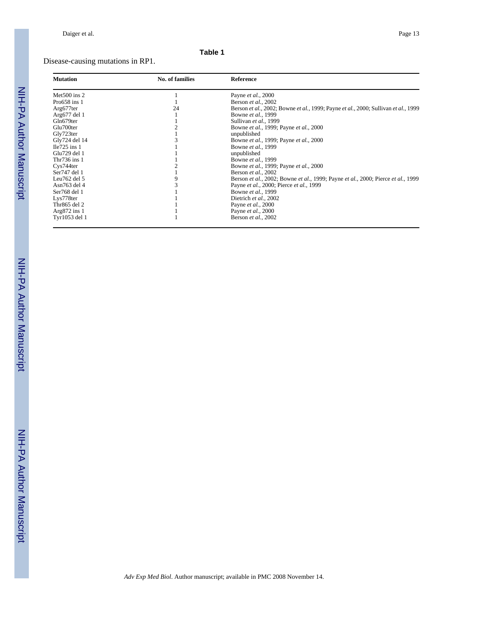# Disease-causing mutations in RP1.

| <b>Mutation</b>                    | No. of families | Reference                                                                          |
|------------------------------------|-----------------|------------------------------------------------------------------------------------|
| Met $500$ ins 2                    |                 | Payne <i>et al.</i> , 2000                                                         |
| Pro $658$ ins 1                    |                 | Berson et al., 2002                                                                |
| Arg677ter                          | 24              | Berson et al., 2002; Bowne et al., 1999; Payne et al., 2000; Sullivan et al., 1999 |
| Arg677 del 1                       |                 | Bowne et al., 1999                                                                 |
| Gln679ter                          |                 | Sullivan et al., 1999                                                              |
| Glu700ter                          |                 | Bowne et al., 1999; Payne et al., 2000                                             |
| Gly723ter                          |                 | unpublished                                                                        |
| Gly724 del 14                      |                 | Bowne et al., 1999; Payne et al., 2000                                             |
| $Ile725$ ins 1                     |                 | Bowne et al., 1999                                                                 |
| Glu729 del 1                       |                 | unpublished                                                                        |
| Thr $736$ ins 1                    |                 | Bowne et al., 1999                                                                 |
| C <sub>VS</sub> 744 <sub>ter</sub> |                 | Bowne et al., 1999; Payne et al., 2000                                             |
| Ser747 del 1                       |                 | Berson et al., 2002                                                                |
| Leu $762$ del $5$                  |                 | Berson et al., 2002; Bowne et al., 1999; Payne et al., 2000; Pierce et al., 1999   |
| Asn763 del 4                       |                 | Payne et al., 2000; Pierce et al., 1999                                            |
| Ser768 del 1                       |                 | Bowne et al., 1999                                                                 |
| Lys778ter                          |                 | Dietrich et al., 2002                                                              |
| Thr865 del 2                       |                 | Payne et al., 2000                                                                 |
| Arg $872$ ins 1                    |                 | Payne et al., 2000                                                                 |
| Tyr1053 del 1                      |                 | Berson et al., 2002                                                                |